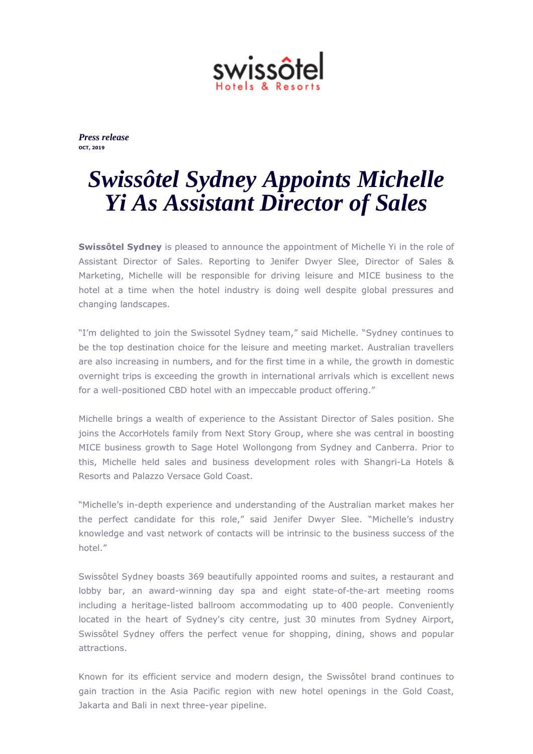

*Press release* **OCT, 2019**

## *Swissôtel Sydney Appoints Michelle Yi As Assistant Director of Sales*

**Swissôtel Sydney** is pleased to announce the appointment of Michelle Yi in the role of Assistant Director of Sales. Reporting to Jenifer Dwyer Slee, Director of Sales & Marketing, Michelle will be responsible for driving leisure and MICE business to the hotel at a time when the hotel industry is doing well despite global pressures and changing landscapes.

"I'm delighted to join the Swissotel Sydney team," said Michelle. "Sydney continues to be the top destination choice for the leisure and meeting market. Australian travellers are also increasing in numbers, and for the first time in a while, the growth in domestic overnight trips is exceeding the growth in international arrivals which is excellent news for a well-positioned CBD hotel with an impeccable product offering."

Michelle brings a wealth of experience to the Assistant Director of Sales position. She joins the AccorHotels family from Next Story Group, where she was central in boosting MICE business growth to Sage Hotel Wollongong from Sydney and Canberra. Prior to this, Michelle held sales and business development roles with Shangri-La Hotels & Resorts and Palazzo Versace Gold Coast.

"Michelle's in-depth experience and understanding of the Australian market makes her the perfect candidate for this role," said Jenifer Dwyer Slee. "Michelle's industry knowledge and vast network of contacts will be intrinsic to the business success of the hotel."

Swissôtel Sydney boasts 369 beautifully appointed rooms and suites, a restaurant and lobby bar, an award-winning day spa and eight state-of-the-art meeting rooms including a heritage-listed ballroom accommodating up to 400 people. Conveniently located in the heart of Sydney's city centre, just 30 minutes from Sydney Airport, Swissôtel Sydney offers the perfect venue for shopping, dining, shows and popular attractions.

Known for its efficient service and modern design, the Swissôtel brand continues to gain traction in the Asia Pacific region with new hotel openings in the Gold Coast, Jakarta and Bali in next three-year pipeline.